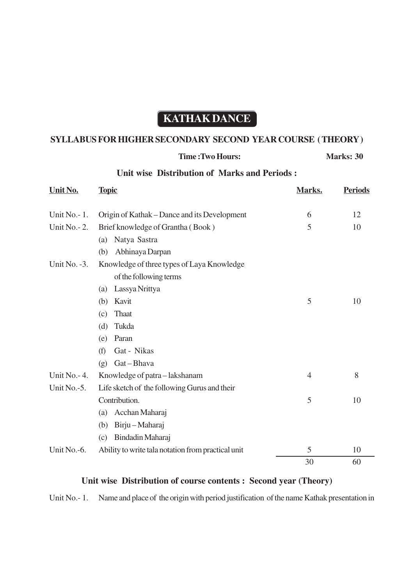# **KATHAK DANCE**

## **SYLLABUS FOR HIGHER SECONDARY SECOND YEAR COURSE ( THEORY )**

#### **Time : Two Hours: Marks: 30**

### **Unit wise Distribution of Marks and Periods :**

| Unit No.        | <b>Topic</b>                                       | Marks. | <b>Periods</b> |
|-----------------|----------------------------------------------------|--------|----------------|
| Unit No.-1.     | Origin of Kathak – Dance and its Development       | 6      | 12             |
| Unit No. $-2$ . | Brief knowledge of Grantha (Book)                  | 5      | 10             |
|                 | Natya Sastra<br>(a)                                |        |                |
|                 | Abhinaya Darpan<br>(b)                             |        |                |
| Unit No. $-3$ . | Knowledge of three types of Laya Knowledge         |        |                |
|                 | of the following terms                             |        |                |
|                 | Lassya Nrittya<br>(a)                              |        |                |
|                 | Kavit<br>(b)                                       | 5      | 10             |
|                 | <b>Thaat</b><br>(c)                                |        |                |
|                 | (d)<br>Tukda                                       |        |                |
|                 | Paran<br>(e)                                       |        |                |
|                 | Gat - Nikas<br>(f)                                 |        |                |
|                 | Gat-Bhava<br>(g)                                   |        |                |
| Unit No. - 4.   | Knowledge of patra-lakshanam                       | 4      | 8              |
| Unit No.-5.     | Life sketch of the following Gurus and their       |        |                |
|                 | Contribution.                                      | 5      | 10             |
|                 | Acchan Maharaj<br>(a)                              |        |                |
|                 | Birju-Maharaj<br>(b)                               |        |                |
|                 | Bindadin Maharaj<br>(c)                            |        |                |
| Unit No.-6.     | Ability to write tala notation from practical unit | 5      | 10             |
|                 |                                                    | 30     | 60             |

### **Unit wise Distribution of course contents : Second year (Theory)**

Unit No.- 1. Name and place of the origin with period justification of the name Kathak presentation in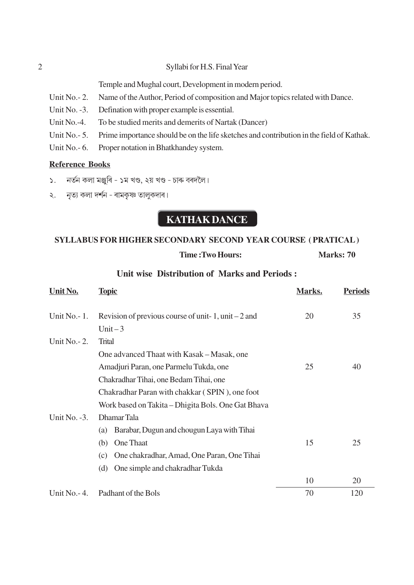#### Syllabi for H.S. Final Year

Temple and Mughal court, Development in modern period.

- Unit No.  $-2$ . Name of the Author, Period of composition and Major topics related with Dance.
- Unit No. -3. Defination with proper example is essential.
- Unit  $No. -4$ . To be studied merits and demerits of Nartak (Dancer)
- Unit No.  $-5$ . Prime importance should be on the life sketches and contribution in the field of Kathak.
- Unit No. 6. Proper notation in Bhatkhandey system.

### **Reference Books**

- নৰ্তন কলা মঞ্জৰি ১ম খণ্ড, ২য় খণ্ড চাৰু বৰদলৈ।  $\mathcal{S}$
- নৃত্য কলা দর্শন ৰামকৃষ্ণ তালুকদাৰ।  $\lambda$ .

## **KATHAK DANCE**

### **SYLLABUS FOR HIGHER SECONDARY SECOND YEAR COURSE (PRATICAL)**

### Time: Two Hours:

Marks: 70

### Unit wise Distribution of Marks and Periods:

| Unit No.         | <b>Topic</b>                                         | Marks. | <b>Periods</b> |
|------------------|------------------------------------------------------|--------|----------------|
| Unit $No-1$ .    | Revision of previous course of unit-1, unit $-2$ and | 20     | 35             |
|                  | Unit $-3$                                            |        |                |
| Unit $No. - 2$ . | <b>Trital</b>                                        |        |                |
|                  | One advanced Thaat with Kasak – Masak, one           |        |                |
|                  | Amadjuri Paran, one Parmelu Tukda, one               | 25     | 40             |
|                  | Chakradhar Tihai, one Bedam Tihai, one               |        |                |
|                  | Chakradhar Paran with chakkar (SPIN), one foot       |        |                |
|                  | Work based on Takita – Dhigita Bols. One Gat Bhava   |        |                |
| Unit No. -3.     | Dhamar Tala                                          |        |                |
|                  | Barabar, Dugun and chougun Laya with Tihai<br>(a)    |        |                |
|                  | One Thaat<br>(b)                                     | 15     | 25             |
|                  | One chakradhar, Amad, One Paran, One Tihai<br>(c)    |        |                |
|                  | One simple and chakradhar Tukda<br>(d)               |        |                |
|                  |                                                      | 10     | 20             |
| Unit No. - 4.    | Padhant of the Bols                                  | 70     | 120            |

 $\overline{2}$